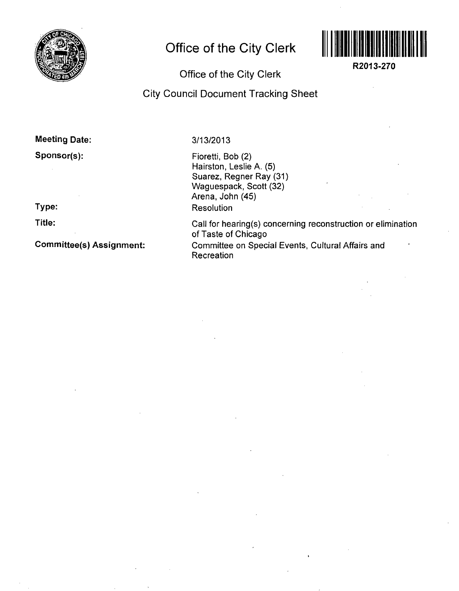

# **Office of the City Clerk**



**R2013-270** 

## Office of the City Clerk

### City Council Document Tracking Sheet

#### Meeting Date:

### Sponsor(s):

# Type:

Title:

Committee(s) Assignment:

#### 3/13/2013

Fioretti, Bob (2) Hairston, Leslie A. (5) Suarez, Regner Ray (31) Waguespack, Scott (32) Arena, John (45) Resolution

Call for hearing(s) concerning reconstruction or elimination of Taste of Chicago Committee on Special Events, Cultural Affairs and Recreation